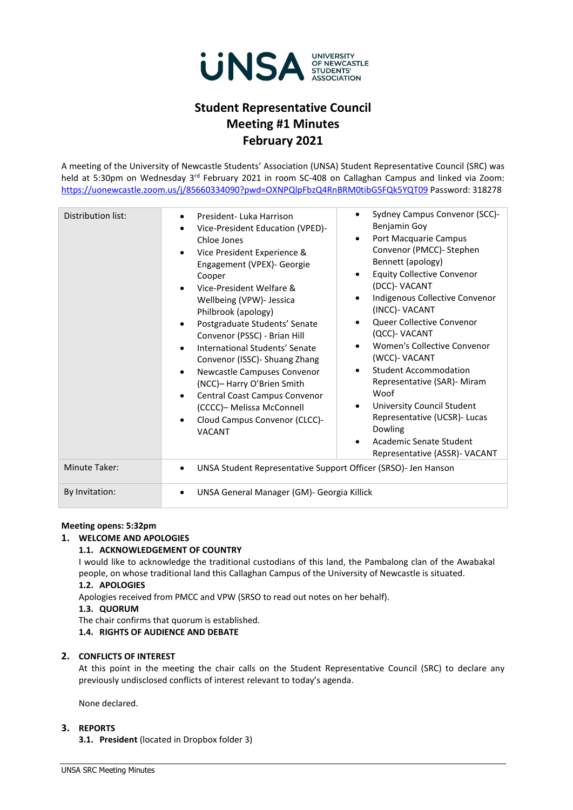

# **Student Representative Council Meeting #1 Minutes February 2021**

A meeting of the University of Newcastle Students' Association (UNSA) Student Representative Council (SRC) was held at 5:30pm on Wednesday 3<sup>rd</sup> February 2021 in room SC-408 on Callaghan Campus and linked via Zoom: <https://uonewcastle.zoom.us/j/85660334090?pwd=OXNPQlpFbzQ4RnBRM0tibG5FQk5YQT09> Password: 318278

| Distribution list:   | President-Luka Harrison<br>$\bullet$<br>Vice-President Education (VPED)-<br>$\bullet$<br>Chloe Jones<br>Vice President Experience &<br>$\bullet$<br>Engagement (VPEX)- Georgie<br>Cooper<br>Vice-President Welfare &<br>$\bullet$<br>Wellbeing (VPW)- Jessica<br>Philbrook (apology)<br>Postgraduate Students' Senate<br>$\bullet$<br>Convenor (PSSC) - Brian Hill<br>International Students' Senate<br>$\bullet$<br>Convenor (ISSC) - Shuang Zhang<br>Newcastle Campuses Convenor<br>$\bullet$<br>(NCC)- Harry O'Brien Smith<br>Central Coast Campus Convenor<br>$\bullet$<br>(CCCC)- Melissa McConnell<br>Cloud Campus Convenor (CLCC)-<br>$\bullet$<br><b>VACANT</b> | Sydney Campus Convenor (SCC)-<br>$\bullet$<br>Benjamin Goy<br>Port Macquarie Campus<br>$\bullet$<br>Convenor (PMCC)- Stephen<br>Bennett (apology)<br><b>Equity Collective Convenor</b><br>$\bullet$<br>(DCC)- VACANT<br>Indigenous Collective Convenor<br>$\bullet$<br>(INCC)- VACANT<br>Queer Collective Convenor<br>$\bullet$<br>(QCC)- VACANT<br>Women's Collective Convenor<br>$\bullet$<br>(WCC)- VACANT<br><b>Student Accommodation</b><br>$\bullet$<br>Representative (SAR)- Miram<br>Woof<br>University Council Student<br>$\bullet$<br>Representative (UCSR)- Lucas<br>Dowling<br>Academic Senate Student<br>٠<br>Representative (ASSR)- VACANT |  |
|----------------------|-------------------------------------------------------------------------------------------------------------------------------------------------------------------------------------------------------------------------------------------------------------------------------------------------------------------------------------------------------------------------------------------------------------------------------------------------------------------------------------------------------------------------------------------------------------------------------------------------------------------------------------------------------------------------|----------------------------------------------------------------------------------------------------------------------------------------------------------------------------------------------------------------------------------------------------------------------------------------------------------------------------------------------------------------------------------------------------------------------------------------------------------------------------------------------------------------------------------------------------------------------------------------------------------------------------------------------------------|--|
| <b>Minute Taker:</b> | UNSA Student Representative Support Officer (SRSO)- Jen Hanson<br>$\bullet$                                                                                                                                                                                                                                                                                                                                                                                                                                                                                                                                                                                             |                                                                                                                                                                                                                                                                                                                                                                                                                                                                                                                                                                                                                                                          |  |
| By Invitation:       | UNSA General Manager (GM)- Georgia Killick<br>$\bullet$                                                                                                                                                                                                                                                                                                                                                                                                                                                                                                                                                                                                                 |                                                                                                                                                                                                                                                                                                                                                                                                                                                                                                                                                                                                                                                          |  |

## **Meeting opens: 5:32pm**

## **1. WELCOME AND APOLOGIES**

## **1.1. ACKNOWLEDGEMENT OF COUNTRY**

I would like to acknowledge the traditional custodians of this land, the Pambalong clan of the Awabakal people, on whose traditional land this Callaghan Campus of the University of Newcastle is situated.

# **1.2. APOLOGIES**

Apologies received from PMCC and VPW (SRSO to read out notes on her behalf).

#### **1.3. QUORUM**

The chair confirms that quorum is established.

# **1.4. RIGHTS OF AUDIENCE AND DEBATE**

## **2. CONFLICTS OF INTEREST**

At this point in the meeting the chair calls on the Student Representative Council (SRC) to declare any previously undisclosed conflicts of interest relevant to today's agenda.

None declared.

# **3. REPORTS**

**3.1. President** (located in Dropbox folder 3)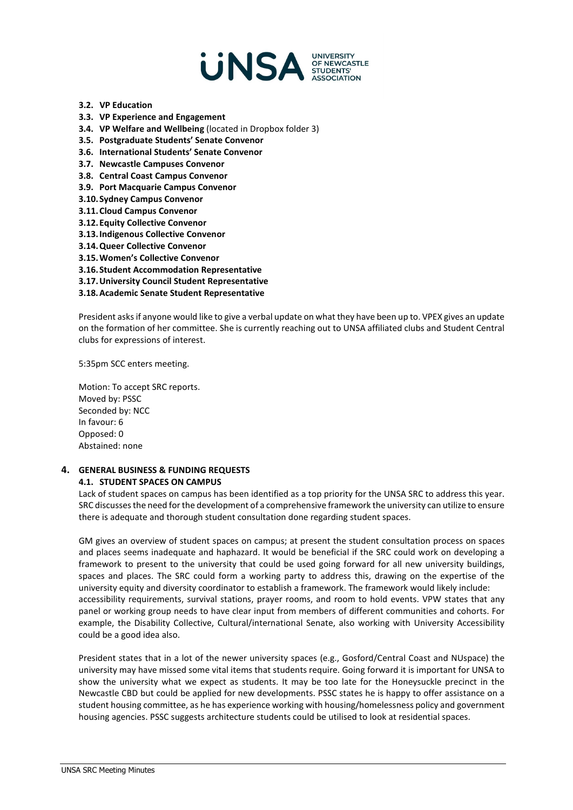

- **3.2. VP Education**
- **3.3. VP Experience and Engagement**
- **3.4. VP Welfare and Wellbeing** (located in Dropbox folder 3)
- **3.5. Postgraduate Students' Senate Convenor**
- **3.6. International Students' Senate Convenor**
- **3.7. Newcastle Campuses Convenor**
- **3.8. Central Coast Campus Convenor**
- **3.9. Port Macquarie Campus Convenor**
- **3.10.Sydney Campus Convenor**
- **3.11.Cloud Campus Convenor**
- **3.12.Equity Collective Convenor**
- **3.13.Indigenous Collective Convenor**
- **3.14.Queer Collective Convenor**
- **3.15.Women's Collective Convenor**
- **3.16.Student Accommodation Representative**
- **3.17.University Council Student Representative**
- **3.18.Academic Senate Student Representative**

President asks if anyone would like to give a verbal update on what they have been up to. VPEX gives an update on the formation of her committee. She is currently reaching out to UNSA affiliated clubs and Student Central clubs for expressions of interest.

5:35pm SCC enters meeting.

Motion: To accept SRC reports. Moved by: PSSC Seconded by: NCC In favour: 6 Opposed: 0 Abstained: none

# **4. GENERAL BUSINESS & FUNDING REQUESTS 4.1. STUDENT SPACES ON CAMPUS**

Lack of student spaces on campus has been identified as a top priority for the UNSA SRC to address this year. SRC discussesthe need for the development of a comprehensive framework the university can utilize to ensure there is adequate and thorough student consultation done regarding student spaces.

GM gives an overview of student spaces on campus; at present the student consultation process on spaces and places seems inadequate and haphazard. It would be beneficial if the SRC could work on developing a framework to present to the university that could be used going forward for all new university buildings, spaces and places. The SRC could form a working party to address this, drawing on the expertise of the university equity and diversity coordinator to establish a framework. The framework would likely include: accessibility requirements, survival stations, prayer rooms, and room to hold events. VPW states that any panel or working group needs to have clear input from members of different communities and cohorts. For example, the Disability Collective, Cultural/international Senate, also working with University Accessibility could be a good idea also.

President states that in a lot of the newer university spaces (e.g., Gosford/Central Coast and NUspace) the university may have missed some vital items that students require. Going forward it is important for UNSA to show the university what we expect as students. It may be too late for the Honeysuckle precinct in the Newcastle CBD but could be applied for new developments. PSSC states he is happy to offer assistance on a student housing committee, as he has experience working with housing/homelessness policy and government housing agencies. PSSC suggests architecture students could be utilised to look at residential spaces.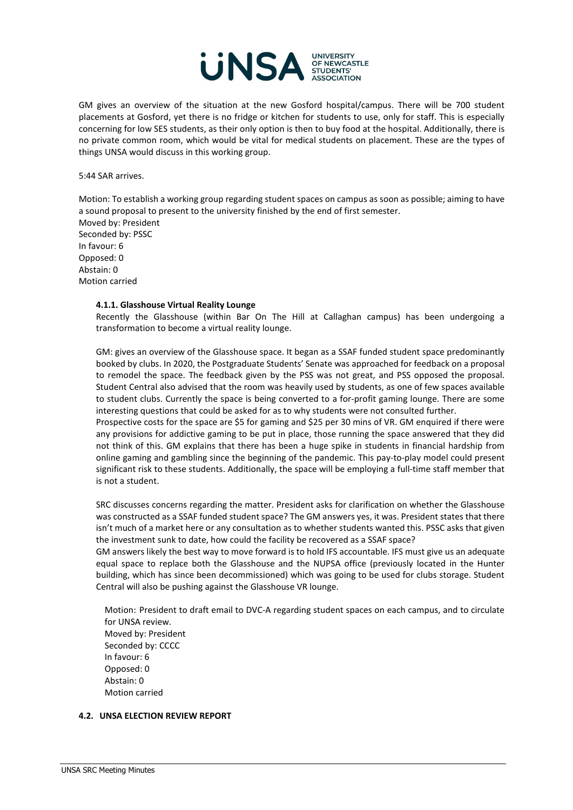

GM gives an overview of the situation at the new Gosford hospital/campus. There will be 700 student placements at Gosford, yet there is no fridge or kitchen for students to use, only for staff. This is especially concerning for low SES students, as their only option is then to buy food at the hospital. Additionally, there is no private common room, which would be vital for medical students on placement. These are the types of things UNSA would discuss in this working group.

5:44 SAR arrives.

Motion: To establish a working group regarding student spaces on campus as soon as possible; aiming to have a sound proposal to present to the university finished by the end of first semester.

Moved by: President Seconded by: PSSC In favour: 6 Opposed: 0 Abstain: 0 Motion carried

#### **4.1.1. Glasshouse Virtual Reality Lounge**

Recently the Glasshouse (within Bar On The Hill at Callaghan campus) has been undergoing a transformation to become a virtual reality lounge.

GM: gives an overview of the Glasshouse space. It began as a SSAF funded student space predominantly booked by clubs. In 2020, the Postgraduate Students' Senate was approached for feedback on a proposal to remodel the space. The feedback given by the PSS was not great, and PSS opposed the proposal. Student Central also advised that the room was heavily used by students, as one of few spaces available to student clubs. Currently the space is being converted to a for-profit gaming lounge. There are some interesting questions that could be asked for as to why students were not consulted further.

Prospective costs for the space are \$5 for gaming and \$25 per 30 mins of VR. GM enquired if there were any provisions for addictive gaming to be put in place, those running the space answered that they did not think of this. GM explains that there has been a huge spike in students in financial hardship from online gaming and gambling since the beginning of the pandemic. This pay-to-play model could present significant risk to these students. Additionally, the space will be employing a full-time staff member that is not a student.

SRC discusses concerns regarding the matter. President asks for clarification on whether the Glasshouse was constructed as a SSAF funded student space? The GM answers yes, it was. President states that there isn't much of a market here or any consultation as to whether students wanted this. PSSC asks that given the investment sunk to date, how could the facility be recovered as a SSAF space?

GM answers likely the best way to move forward is to hold IFS accountable. IFS must give us an adequate equal space to replace both the Glasshouse and the NUPSA office (previously located in the Hunter building, which has since been decommissioned) which was going to be used for clubs storage. Student Central will also be pushing against the Glasshouse VR lounge.

Motion: President to draft email to DVC-A regarding student spaces on each campus, and to circulate for UNSA review. Moved by: President Seconded by: CCCC In favour: 6 Opposed: 0 Abstain: 0 Motion carried

#### **4.2. UNSA ELECTION REVIEW REPORT**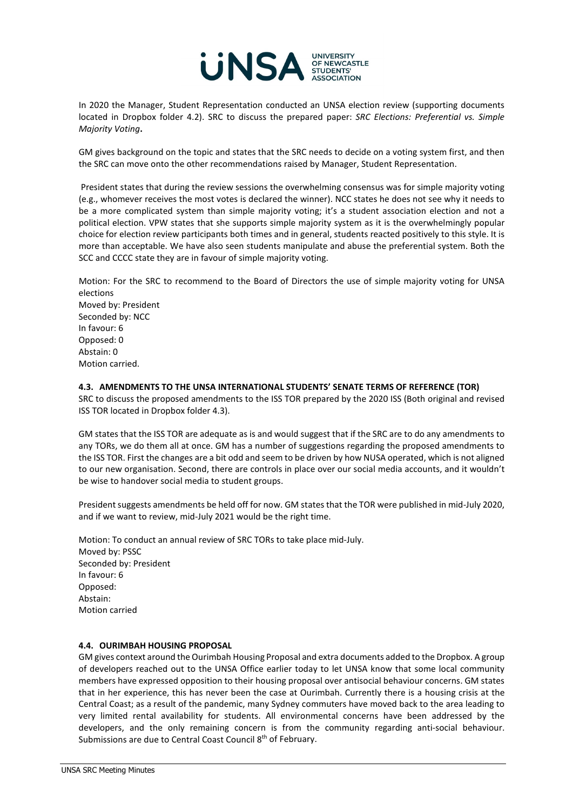

In 2020 the Manager, Student Representation conducted an UNSA election review (supporting documents located in Dropbox folder 4.2). SRC to discuss the prepared paper: *SRC Elections: Preferential vs. Simple Majority Voting***.** 

GM gives background on the topic and states that the SRC needs to decide on a voting system first, and then the SRC can move onto the other recommendations raised by Manager, Student Representation.

President states that during the review sessions the overwhelming consensus was for simple majority voting (e.g., whomever receives the most votes is declared the winner). NCC states he does not see why it needs to be a more complicated system than simple majority voting; it's a student association election and not a political election. VPW states that she supports simple majority system as it is the overwhelmingly popular choice for election review participants both times and in general, students reacted positively to this style. It is more than acceptable. We have also seen students manipulate and abuse the preferential system. Both the SCC and CCCC state they are in favour of simple majority voting.

Motion: For the SRC to recommend to the Board of Directors the use of simple majority voting for UNSA elections Moved by: President Seconded by: NCC In favour: 6 Opposed: 0 Abstain: 0 Motion carried.

## **4.3. AMENDMENTS TO THE UNSA INTERNATIONAL STUDENTS' SENATE TERMS OF REFERENCE (TOR)**

SRC to discuss the proposed amendments to the ISS TOR prepared by the 2020 ISS (Both original and revised ISS TOR located in Dropbox folder 4.3).

GM states that the ISS TOR are adequate as is and would suggest that if the SRC are to do any amendments to any TORs, we do them all at once. GM has a number of suggestions regarding the proposed amendments to the ISS TOR. First the changes are a bit odd and seem to be driven by how NUSA operated, which is not aligned to our new organisation. Second, there are controls in place over our social media accounts, and it wouldn't be wise to handover social media to student groups.

President suggests amendments be held off for now. GM states that the TOR were published in mid-July 2020, and if we want to review, mid-July 2021 would be the right time.

Motion: To conduct an annual review of SRC TORs to take place mid-July. Moved by: PSSC Seconded by: President In favour: 6 Opposed: Abstain: Motion carried

## **4.4. OURIMBAH HOUSING PROPOSAL**

GM gives context around the Ourimbah Housing Proposal and extra documents added to the Dropbox. A group of developers reached out to the UNSA Office earlier today to let UNSA know that some local community members have expressed opposition to their housing proposal over antisocial behaviour concerns. GM states that in her experience, this has never been the case at Ourimbah. Currently there is a housing crisis at the Central Coast; as a result of the pandemic, many Sydney commuters have moved back to the area leading to very limited rental availability for students. All environmental concerns have been addressed by the developers, and the only remaining concern is from the community regarding anti-social behaviour. Submissions are due to Central Coast Council 8<sup>th</sup> of February.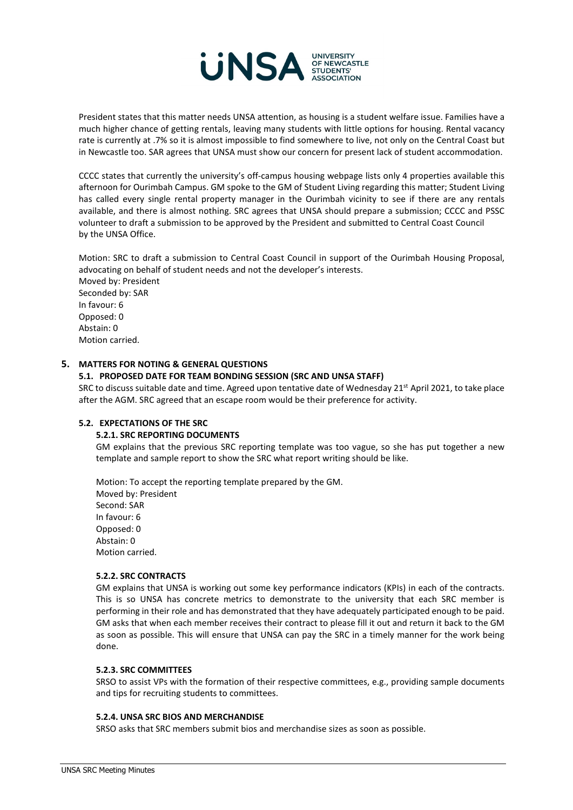

President states that this matter needs UNSA attention, as housing is a student welfare issue. Families have a much higher chance of getting rentals, leaving many students with little options for housing. Rental vacancy rate is currently at .7% so it is almost impossible to find somewhere to live, not only on the Central Coast but in Newcastle too. SAR agrees that UNSA must show our concern for present lack of student accommodation.

CCCC states that currently the university's off-campus housing webpage lists only 4 properties available this afternoon for Ourimbah Campus. GM spoke to the GM of Student Living regarding this matter; Student Living has called every single rental property manager in the Ourimbah vicinity to see if there are any rentals available, and there is almost nothing. SRC agrees that UNSA should prepare a submission; CCCC and PSSC volunteer to draft a submission to be approved by the President and submitted to Central Coast Council by the UNSA Office.

Motion: SRC to draft a submission to Central Coast Council in support of the Ourimbah Housing Proposal, advocating on behalf of student needs and not the developer's interests.

Moved by: President Seconded by: SAR In favour: 6 Opposed: 0 Abstain: 0 Motion carried.

# **5. MATTERS FOR NOTING & GENERAL QUESTIONS**

## **5.1. PROPOSED DATE FOR TEAM BONDING SESSION (SRC AND UNSA STAFF)**

SRC to discuss suitable date and time. Agreed upon tentative date of Wednesday 21<sup>st</sup> April 2021, to take place after the AGM. SRC agreed that an escape room would be their preference for activity.

## **5.2. EXPECTATIONS OF THE SRC**

## **5.2.1. SRC REPORTING DOCUMENTS**

GM explains that the previous SRC reporting template was too vague, so she has put together a new template and sample report to show the SRC what report writing should be like.

Motion: To accept the reporting template prepared by the GM. Moved by: President Second: SAR In favour: 6 Opposed: 0 Abstain: 0 Motion carried.

## **5.2.2. SRC CONTRACTS**

GM explains that UNSA is working out some key performance indicators (KPIs) in each of the contracts. This is so UNSA has concrete metrics to demonstrate to the university that each SRC member is performing in their role and has demonstrated that they have adequately participated enough to be paid. GM asks that when each member receives their contract to please fill it out and return it back to the GM as soon as possible. This will ensure that UNSA can pay the SRC in a timely manner for the work being done.

#### **5.2.3. SRC COMMITTEES**

SRSO to assist VPs with the formation of their respective committees, e.g., providing sample documents and tips for recruiting students to committees.

## **5.2.4. UNSA SRC BIOS AND MERCHANDISE**

SRSO asks that SRC members submit bios and merchandise sizes as soon as possible.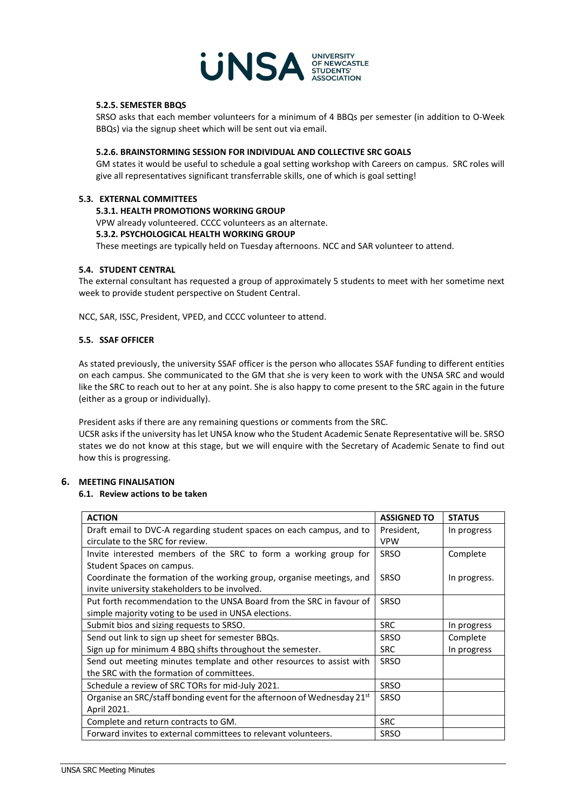

#### **5.2.5. SEMESTER BBQS**

SRSO asks that each member volunteers for a minimum of 4 BBQs per semester (in addition to O-Week BBQs) via the signup sheet which will be sent out via email.

# **5.2.6. BRAINSTORMING SESSION FOR INDIVIDUAL AND COLLECTIVE SRC GOALS**

GM states it would be useful to schedule a goal setting workshop with Careers on campus. SRC roles will give all representatives significant transferrable skills, one of which is goal setting!

#### **5.3. EXTERNAL COMMITTEES**

#### **5.3.1. HEALTH PROMOTIONS WORKING GROUP**

VPW already volunteered. CCCC volunteers as an alternate.

#### **5.3.2. PSYCHOLOGICAL HEALTH WORKING GROUP**

These meetings are typically held on Tuesday afternoons. NCC and SAR volunteer to attend.

#### **5.4. STUDENT CENTRAL**

The external consultant has requested a group of approximately 5 students to meet with her sometime next week to provide student perspective on Student Central.

NCC, SAR, ISSC, President, VPED, and CCCC volunteer to attend.

#### **5.5. SSAF OFFICER**

As stated previously, the university SSAF officer is the person who allocates SSAF funding to different entities on each campus. She communicated to the GM that she is very keen to work with the UNSA SRC and would like the SRC to reach out to her at any point. She is also happy to come present to the SRC again in the future (either as a group or individually).

President asks if there are any remaining questions or comments from the SRC.

UCSR asks if the university has let UNSA know who the Student Academic Senate Representative will be. SRSO states we do not know at this stage, but we will enquire with the Secretary of Academic Senate to find out how this is progressing.

# **6. MEETING FINALISATION**

## **6.1. Review actions to be taken**

| <b>ACTION</b>                                                             | <b>ASSIGNED TO</b> | <b>STATUS</b> |
|---------------------------------------------------------------------------|--------------------|---------------|
| Draft email to DVC-A regarding student spaces on each campus, and to      | President,         | In progress   |
| circulate to the SRC for review.                                          | <b>VPW</b>         |               |
| Invite interested members of the SRC to form a working group for          | <b>SRSO</b>        | Complete      |
| Student Spaces on campus.                                                 |                    |               |
| Coordinate the formation of the working group, organise meetings, and     | <b>SRSO</b>        | In progress.  |
| invite university stakeholders to be involved.                            |                    |               |
| Put forth recommendation to the UNSA Board from the SRC in favour of      | SRSO               |               |
| simple majority voting to be used in UNSA elections.                      |                    |               |
| Submit bios and sizing requests to SRSO.                                  | <b>SRC</b>         | In progress   |
| Send out link to sign up sheet for semester BBQs.                         | <b>SRSO</b>        | Complete      |
| Sign up for minimum 4 BBQ shifts throughout the semester.                 | <b>SRC</b>         | In progress   |
| Send out meeting minutes template and other resources to assist with      | <b>SRSO</b>        |               |
| the SRC with the formation of committees.                                 |                    |               |
| Schedule a review of SRC TORs for mid-July 2021.                          | <b>SRSO</b>        |               |
| Organise an SRC/staff bonding event for the afternoon of Wednesday $21st$ | <b>SRSO</b>        |               |
| April 2021.                                                               |                    |               |
| Complete and return contracts to GM.                                      | <b>SRC</b>         |               |
| Forward invites to external committees to relevant volunteers.            | <b>SRSO</b>        |               |